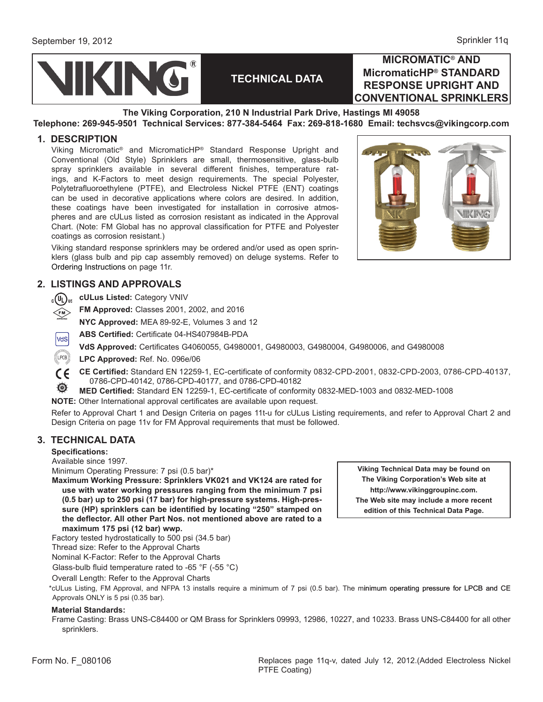# CING

# **TECHNICAL DATA**

#### **micromatic® and micromaticHP® standard response uprighT and conventional sprinklers**

#### **The Viking Corporation, 210 N Industrial Park Drive, Hastings MI 49058 Telephone: 269-945-9501 Technical Services: 877-384-5464 Fax: 269-818-1680 Email: techsvcs@vikingcorp.com**

#### **1. DESCRIPTION**

Viking Micromatic® and MicromaticHP® Standard Response Upright and Conventional (Old Style) Sprinklers are small, thermosensitive, glass-bulb spray sprinklers available in several different finishes, temperature ratings, and K-Factors to meet design requirements. The special Polyester, Polytetrafluoroethylene (PTFE), and Electroless Nickel PTFE (ENT) coatings can be used in decorative applications where colors are desired. In addition, these coatings have been investigated for installation in corrosive atmospheres and are cULus listed as corrosion resistant as indicated in the Approval Chart. (Note: FM Global has no approval classification for PTFE and Polyester coatings as corrosion resistant.)

Viking standard response sprinklers may be ordered and/or used as open sprinklers (glass bulb and pip cap assembly removed) on deluge systems. Refer to Ordering Instructions on page 11r.

#### **2. LISTINGS AND APPROVALS**

**c**( $\widehat{U_{L}}$ <sub>us</sub> **cULus Listed:** Category VNIV

**FM Approved:** Classes 2001, 2002, and 2016

**NYC Approved:** MEA 89-92-E, Volumes 3 and 12

- **ABS Certified:** Certificate 04-HS407984B-PDA  $|{\rm VdS}|$ 
	- **VdS Approved:** Certificates G4060055, G4980001, G4980003, G4980004, G4980006, and G4980008
- ((LPCB) **LPC Approved:** Ref. No. 096e/06
- **CE Certified:** Standard EN 12259-1, EC-certificate of conformity 0832-CPD-2001, 0832-CPD-2003, 0786-CPD-40137,  $\epsilon$ 0786-CPD-40142, 0786-CPD-40177, and 0786-CPD-40182
- ⊕ **MED Certified:** Standard EN 12259-1, EC-certificate of conformity 0832-MED-1003 and 0832-MED-1008
- **NOTE:** Other International approval certificates are available upon request.

Refer to Approval Chart 1 and Design Criteria on pages 11t-u for cULus Listing requirements, and refer to Approval Chart 2 and Design Criteria on page 11v for FM Approval requirements that must be followed.

#### **3. technical data**

**Specifications:**

Available since 1997.

Minimum Operating Pressure: 7 psi (0.5 bar)\*

**Maximum Working Pressure: Sprinklers VK021 and VK124 are rated for use with water working pressures ranging from the minimum 7 psi (0.5 bar) up to 250 psi (17 bar) for high-pressure systems. High-pressure (HP) sprinklers can be identified by locating "250" stamped on the deflector. All other Part Nos. not mentioned above are rated to a maximum 175 psi (12 bar) wwp.** 

Factory tested hydrostatically to 500 psi (34.5 bar)

Thread size: Refer to the Approval Charts

Nominal K-Factor: Refer to the Approval Charts

Glass-bulb fluid temperature rated to -65 °F (-55 °C)

Overall Length: Refer to the Approval Charts

\*cULus Listing, FM Approval, and NFPA 13 installs require a minimum of 7 psi (0.5 bar). The minimum operating pressure for LPCB and CE Approvals ONLY is 5 psi (0.35 bar).

#### **Material Standards:**

Frame Casting: Brass UNS-C84400 or QM Brass for Sprinklers 09993, 12986, 10227, and 10233. Brass UNS-C84400 for all other sprinklers.

**Viking Technical Data may be found on The Viking Corporation's Web site at http://www.vikinggroupinc.com. The Web site may include a more recent edition of this Technical Data Page.**

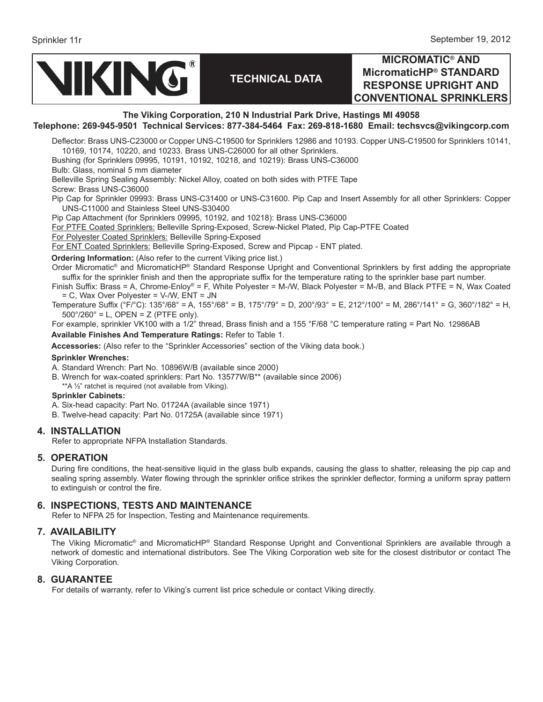

### **micromatic® and micromaticHP® standard response uprighT and conventional sprinklers**

#### **The Viking Corporation, 210 N Industrial Park Drive, Hastings MI 49058 Telephone: 269-945-9501 Technical Services: 877-384-5464 Fax: 269-818-1680 Email: techsvcs@vikingcorp.com**

Deflector: Brass UNS-C23000 or Copper UNS-C19500 for Sprinklers 12986 and 10193. Copper UNS-C19500 for Sprinklers 10141, 10169, 10174, 10220, and 10233. Brass UNS-C26000 for all other Sprinklers.

Bushing (for Sprinklers 09995, 10191, 10192, 10218, and 10219): Brass UNS-C36000

Bulb: Glass, nominal 5 mm diameter

Belleville Spring Sealing Assembly: Nickel Alloy, coated on both sides with PTFE Tape

Screw: Brass UNS-C36000

Pip Cap for Sprinkler 09993: Brass UNS-C31400 or UNS-C31600. Pip Cap and Insert Assembly for all other Sprinklers: Copper UNS-C11000 and Stainless Steel UNS-S30400

Pip Cap Attachment (for Sprinklers 09995, 10192, and 10218): Brass UNS-C36000

For PTFE Coated Sprinklers: Belleville Spring-Exposed, Screw-Nickel Plated, Pip Cap-PTFE Coated

For Polyester Coated Sprinklers: Belleville Spring-Exposed

For ENT Coated Sprinklers: Belleville Spring-Exposed, Screw and Pipcap - ENT plated.

**Ordering Information:** (Also refer to the current [Viking price list.](http://www.vikingcorp.com/pricelist/))

Order Micromatic® and MicromaticHP® Standard Response Upright and Conventional Sprinklers by first adding the appropriate suffix for the sprinkler finish and then the appropriate suffix for the temperature rating to the sprinkler base part number.

Finish Suffix: Brass = A, Chrome-Enloy® = F, White Polyester = M-/W, Black Polyester = M-/B, and Black PTFE = N, Wax Coated = C, Wax Over Polyester = V-/W, ENT = JN

Temperature Suffix (°F/°C): 135°/68° = A, 155°/68° = B, 175°/79° = D, 200°/93° = E, 212°/100° = M, 286°/141° = G, 360°/182° = H,  $500^{\circ}/260^{\circ}$  = L, OPEN = Z (PTFE only).

For example, sprinkler VK100 with a 1/2" thread, Brass finish and a 155 °F/68 °C temperature rating = Part No. 12986AB **Available Finishes And Temperature Ratings:** Refer to Table 1.

**Accessories:** (Also refer to the "Sprinkler Accessories" section of the Viking data book.)

#### **Sprinkler Wrenches:**

A. Standard Wrench: Part No. 10896W/B (available since 2000)

B. Wrench for wax-coated sprinklers: Part No. 13577W/B\*\* (available since 2006)

\*\*A ½" ratchet is required (not available from Viking). **Sprinkler Cabinets:**

A. Six-head capacity: Part No. 01724A (available since 1971)

B. Twelve-head capacity: Part No. 01725A (available since 1971)

#### **4. Installation**

Refer to appropriate NFPA Installation Standards.

#### **5. Operation**

During fire conditions, the heat-sensitive liquid in the glass bulb expands, causing the glass to shatter, releasing the pip cap and sealing spring assembly. Water flowing through the sprinkler orifice strikes the sprinkler deflector, forming a uniform spray pattern to extinguish or control the fire.

#### **6. inspections, tests and maintenance**

Refer to NFPA 25 for Inspection, Testing and Maintenance requirements.

#### **7. availability**

The Viking Micromatic<sup>®</sup> and MicromaticHP<sup>®</sup> Standard Response Upright and Conventional Sprinklers are available through a network of domestic and international distributors. See The Viking Corporation web site for the closest distributor or contact The Viking Corporation.

#### **8. Guarantee**

For details of warranty, refer to Viking's current list price schedule or contact Viking directly.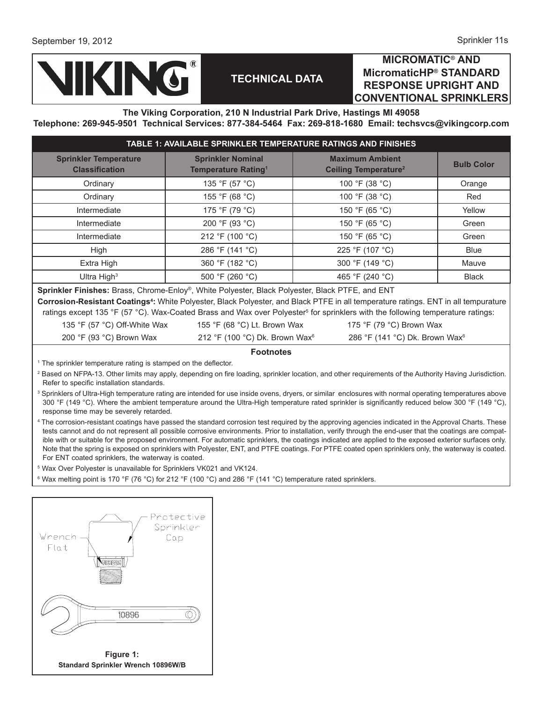

#### **micromatic® and micromaticHP® standard response uprighT and conventional sprinklers**

#### **The Viking Corporation, 210 N Industrial Park Drive, Hastings MI 49058 Telephone: 269-945-9501 Technical Services: 877-384-5464 Fax: 269-818-1680 Email: techsvcs@vikingcorp.com**

| TABLE 1: AVAILABLE SPRINKLER TEMPERATURE RATINGS AND FINISHES |                                                                   |                                                                  |                   |  |  |  |  |
|---------------------------------------------------------------|-------------------------------------------------------------------|------------------------------------------------------------------|-------------------|--|--|--|--|
| <b>Sprinkler Temperature</b><br><b>Classification</b>         | <b>Sprinkler Nominal</b><br><b>Temperature Rating<sup>1</sup></b> | <b>Maximum Ambient</b><br><b>Ceiling Temperature<sup>2</sup></b> | <b>Bulb Color</b> |  |  |  |  |
| Ordinary                                                      | 135 °F (57 °C)                                                    | 100 °F (38 °C)                                                   | Orange            |  |  |  |  |
| Ordinary                                                      | 155 °F (68 °C)                                                    | 100 °F (38 °C)                                                   | Red               |  |  |  |  |
| Intermediate                                                  | 175 °F (79 °C)                                                    | 150 °F (65 °C)                                                   | Yellow            |  |  |  |  |
| Intermediate                                                  | 200 °F (93 °C)                                                    | 150 °F (65 °C)                                                   | Green             |  |  |  |  |
| Intermediate                                                  | 212 °F (100 °C)                                                   | 150 °F (65 °C)                                                   | Green             |  |  |  |  |
| High                                                          | 286 °F (141 °C)                                                   | 225 °F (107 °C)                                                  | <b>Blue</b>       |  |  |  |  |
| Extra High                                                    | 360 °F (182 °C)                                                   | 300 °F (149 °C)                                                  | Mauve             |  |  |  |  |
| Ultra High <sup>3</sup>                                       | 500 °F (260 °C)                                                   | 465 °F (240 °C)                                                  | <b>Black</b>      |  |  |  |  |
|                                                               |                                                                   |                                                                  |                   |  |  |  |  |

**Sprinkler Finishes:** Brass, Chrome-Enloy®, White Polyester, Black Polyester, Black PTFE, and ENT Corrosion-Resistant Coatings<sup>4</sup>: White Polyester, Black Polyester, and Black PTFE in all temperature ratings. ENT in all tempurature ratings except 135 °F (57 °C). Wax-Coated Brass and Wax over Polyester<sup>s</sup> for sprinklers with the following temperature ratings:

 135 °F (57 °C) Off-White Wax 155 °F (68 °C) Lt. Brown Wax 175 °F (79 °C) Brown Wax 200 °F (93 °C) Brown Wax 212 °F (100 °C) Dk. Brown Wax6

286 °F (141 °C) Dk. Brown Wax6

#### **Footnotes**

1 The sprinkler temperature rating is stamped on the deflector.

- 2 Based on NFPA-13. Other limits may apply, depending on fire loading, sprinkler location, and other requirements of the Authority Having Jurisdiction. Refer to specific installation standards.
- 3 Sprinklers of Ultra-High temperature rating are intended for use inside ovens, dryers, or similar enclosures with normal operating temperatures above 300 °F (149 °C). Where the ambient temperature around the Ultra-High temperature rated sprinkler is significantly reduced below 300 °F (149 °C), response time may be severely retarded.
- 4 The corrosion-resistant coatings have passed the standard corrosion test required by the approving agencies indicated in the Approval Charts. These tests cannot and do not represent all possible corrosive environments. Prior to installation, verify through the end-user that the coatings are compatible with or suitable for the proposed environment. For automatic sprinklers, the coatings indicated are applied to the exposed exterior surfaces only. Note that the spring is exposed on sprinklers with Polyester, ENT, and PTFE coatings. For PTFE coated open sprinklers only, the waterway is coated. For ENT coated sprinklers, the waterway is coated.
- 5 Wax Over Polyester is unavailable for Sprinklers VK021 and VK124.
- 6 Wax melting point is 170 °F (76 °C) for 212 °F (100 °C) and 286 °F (141 °C) temperature rated sprinklers.

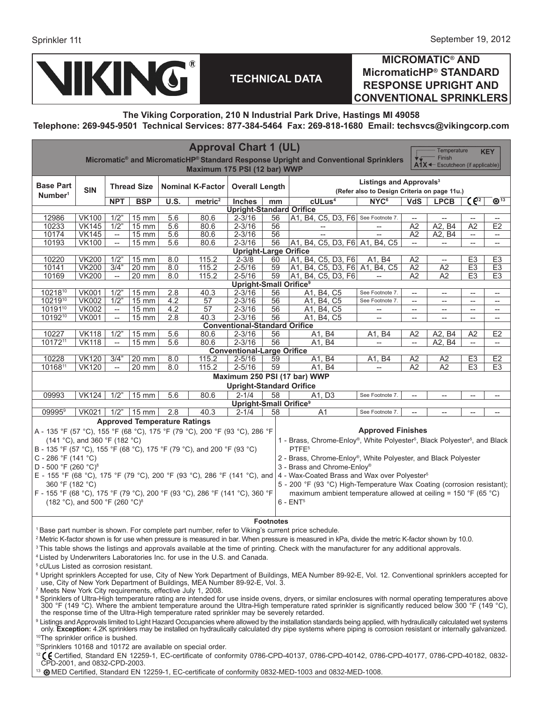

#### **micromatic® and micromaticHP® standard response uprighT and conventional sprinklers**

#### **The Viking Corporation, 210 N Industrial Park Drive, Hastings MI 49058 Telephone: 269-945-9501 Technical Services: 877-384-5464 Fax: 269-818-1680 Email: techsvcs@vikingcorp.com**

| <b>Approval Chart 1 (UL)</b><br>Temperature<br><b>KEY</b>                                                                                                                                                                                                                                                                                                                                                                                                                                                                                                                                             |              |                          |                 |            |                                                                                     |                                                        |          |                                        |                          |                          |                                                               |                                                      |                                    |
|-------------------------------------------------------------------------------------------------------------------------------------------------------------------------------------------------------------------------------------------------------------------------------------------------------------------------------------------------------------------------------------------------------------------------------------------------------------------------------------------------------------------------------------------------------------------------------------------------------|--------------|--------------------------|-----------------|------------|-------------------------------------------------------------------------------------|--------------------------------------------------------|----------|----------------------------------------|--------------------------|--------------------------|---------------------------------------------------------------|------------------------------------------------------|------------------------------------|
| Finish<br>Micromatic® and MicromaticHP® Standard Response Upright and Conventional Sprinklers<br>AIX <- Escutcheon (if applicable)<br>Maximum 175 PSI (12 bar) WWP                                                                                                                                                                                                                                                                                                                                                                                                                                    |              |                          |                 |            |                                                                                     |                                                        |          |                                        |                          |                          |                                                               |                                                      |                                    |
| <b>Base Part</b><br><b>Thread Size</b><br>Nominal K-Factor   Overall Length<br><b>SIN</b>                                                                                                                                                                                                                                                                                                                                                                                                                                                                                                             |              |                          |                 |            | Listings and Approvals <sup>3</sup><br>(Refer also to Design Criteria on page 11u.) |                                                        |          |                                        |                          |                          |                                                               |                                                      |                                    |
| Number <sup>1</sup>                                                                                                                                                                                                                                                                                                                                                                                                                                                                                                                                                                                   |              | <b>NPT</b>               | <b>BSP</b>      | U.S.       | metric <sup>2</sup>                                                                 | <b>Inches</b>                                          | mm       | $c$ ULus <sup>4</sup>                  | NYC <sup>6</sup>         | <b>VdS</b>               | <b>LPCB</b>                                                   | $C \in \mathbb{R}^2$                                 | $\overline{\odot}$ <sup>13</sup>   |
|                                                                                                                                                                                                                                                                                                                                                                                                                                                                                                                                                                                                       |              |                          |                 |            |                                                                                     | <b>Upright-Standard Orifice</b>                        |          |                                        |                          |                          |                                                               |                                                      |                                    |
| 12986                                                                                                                                                                                                                                                                                                                                                                                                                                                                                                                                                                                                 | <b>VK100</b> | 1/2"                     | $15 \text{ mm}$ | 5.6        | 80.6                                                                                | $2 - 3/16$                                             | 56       | $ A1, B4, C5, D3, F6 $ See Footnote 7. |                          | $-$                      | $-\!$                                                         | $-$                                                  |                                    |
| 10233                                                                                                                                                                                                                                                                                                                                                                                                                                                                                                                                                                                                 | <b>VK145</b> | 1/2"                     | $15 \text{ mm}$ | 5.6        | 80.6                                                                                | $2 - 3/16$                                             | 56       | $-\!$                                  | $- -$                    | A2                       | A2, B4                                                        | A2                                                   | E <sub>2</sub>                     |
| 10174                                                                                                                                                                                                                                                                                                                                                                                                                                                                                                                                                                                                 | <b>VK145</b> | $\overline{a}$           | $15 \text{ mm}$ | 5.6        | 80.6                                                                                | $2 - 3/16$                                             | 56       |                                        | $\overline{a}$           | A2                       | A2, B4                                                        | $\overline{a}$                                       | $\overline{\phantom{a}}$           |
| 10193                                                                                                                                                                                                                                                                                                                                                                                                                                                                                                                                                                                                 | <b>VK100</b> | --                       | 15 mm           | 5.6        | 80.6                                                                                | $2 - 3/16$                                             | 56       | A1, B4, C5, D3, F6  A1, B4, C5         |                          | $\overline{\phantom{a}}$ | $\overline{\phantom{0}}$                                      | $\overline{\phantom{a}}$                             | $\overline{\phantom{a}}$           |
|                                                                                                                                                                                                                                                                                                                                                                                                                                                                                                                                                                                                       |              |                          |                 |            |                                                                                     | <b>Upright-Large Orifice</b>                           |          |                                        |                          |                          |                                                               |                                                      |                                    |
| 10220                                                                                                                                                                                                                                                                                                                                                                                                                                                                                                                                                                                                 | <b>VK200</b> | 1/2"                     | $15 \text{ mm}$ | 8.0        | 115.2                                                                               | $2 - 3/8$                                              | 60       | A1, B4, C5, D3, F6                     | A1. B4                   | A <sub>2</sub>           | $\hspace{0.05cm} -\hspace{0.05cm}$                            | E <sub>3</sub>                                       | E <sub>3</sub>                     |
| 10141                                                                                                                                                                                                                                                                                                                                                                                                                                                                                                                                                                                                 | <b>VK200</b> | 3/4"                     | 20 mm           | 8.0        | 115.2                                                                               | $2 - 5/16$                                             | 59       | A1, B4, C5, D3, F6 A1, B4, C5          |                          | A2                       | A2                                                            | E <sub>3</sub>                                       | E <sub>3</sub>                     |
| 10169                                                                                                                                                                                                                                                                                                                                                                                                                                                                                                                                                                                                 | <b>VK200</b> | $\overline{\phantom{a}}$ | 20 mm           | 8.0        | 115.2                                                                               | $2 - 5/16$                                             | 59       | A1, B4, C5, D3, F6                     | $\overline{a}$           | A <sub>2</sub>           | A2                                                            | E <sub>3</sub>                                       | E <sub>3</sub>                     |
| 1021810                                                                                                                                                                                                                                                                                                                                                                                                                                                                                                                                                                                               | <b>VK001</b> | 1/2"                     | $15 \text{ mm}$ |            | 40.3                                                                                | <b>Upright-Small Orifice<sup>9</sup></b><br>$2 - 3/16$ |          |                                        | See Footnote 7.          | $\overline{\phantom{a}}$ |                                                               |                                                      |                                    |
| 1021910                                                                                                                                                                                                                                                                                                                                                                                                                                                                                                                                                                                               | <b>VK002</b> | 1/2"                     | $15 \text{ mm}$ | 2.8<br>4.2 | 57                                                                                  | $2 - 3/16$                                             | 56<br>56 | A1, B4, C5<br>A1, B4, C5               | See Footnote 7.          | $\overline{\phantom{a}}$ | $\hspace{0.05cm} \dashrightarrow$<br>$\overline{\phantom{a}}$ | $\overline{\phantom{a}}$<br>$\overline{\phantom{a}}$ | $\overline{\phantom{a}}$<br>$\sim$ |
| 1019110                                                                                                                                                                                                                                                                                                                                                                                                                                                                                                                                                                                               | <b>VK002</b> | $\sim$                   | $15 \text{ mm}$ | 4.2        | 57                                                                                  | $2 - 3/16$                                             | 56       | A1, B4, C5                             | $-$                      | $-$                      | $-$                                                           | $\overline{\phantom{a}}$                             | $\overline{\phantom{a}}$           |
| 1019210                                                                                                                                                                                                                                                                                                                                                                                                                                                                                                                                                                                               | <b>VK001</b> | --                       | $15 \text{ mm}$ | 2.8        | 40.3                                                                                | $2 - 3/16$                                             | 56       | A1, B <sub>4</sub> , C <sub>5</sub>    | $-$                      | $-$                      | $\overline{\phantom{a}}$                                      | $\overline{\phantom{a}}$                             | $\overline{\phantom{m}}$           |
|                                                                                                                                                                                                                                                                                                                                                                                                                                                                                                                                                                                                       |              |                          |                 |            |                                                                                     | <b>Conventional-Standard Orifice</b>                   |          |                                        |                          |                          |                                                               |                                                      |                                    |
| 10227                                                                                                                                                                                                                                                                                                                                                                                                                                                                                                                                                                                                 | <b>VK118</b> | 1/2"                     | $15 \text{ mm}$ | 5.6        | 80.6                                                                                | $2 - 3/16$                                             | 56       | A1, B4                                 | A1, B4                   | A <sub>2</sub>           | A2, B4                                                        | A2                                                   | E <sub>2</sub>                     |
| 1017211                                                                                                                                                                                                                                                                                                                                                                                                                                                                                                                                                                                               | <b>VK118</b> | $\overline{\phantom{a}}$ | $15 \text{ mm}$ | 5.6        | 80.6                                                                                | $2 - 3/16$                                             | 56       | A1, B4                                 | $\overline{a}$           | $\overline{\phantom{a}}$ | A2, B4                                                        | $\overline{\phantom{a}}$                             | --                                 |
|                                                                                                                                                                                                                                                                                                                                                                                                                                                                                                                                                                                                       |              |                          |                 |            |                                                                                     | <b>Conventional-Large Orifice</b>                      |          |                                        |                          |                          |                                                               |                                                      |                                    |
| 10228                                                                                                                                                                                                                                                                                                                                                                                                                                                                                                                                                                                                 | <b>VK120</b> | 3/4"                     | 20 mm           | 8.0        | 115.2                                                                               | $2 - 5/16$                                             | 59       | A1, B4                                 | A1, B4                   | A <sub>2</sub>           | A <sub>2</sub>                                                | E <sub>3</sub>                                       | E <sub>2</sub>                     |
| 1016811                                                                                                                                                                                                                                                                                                                                                                                                                                                                                                                                                                                               | <b>VK120</b> | $\overline{\phantom{a}}$ | 20 mm           | 8.0        | 115.2                                                                               | $2 - 5/16$                                             | 59       | A1, B4                                 | $\overline{\phantom{a}}$ | A2                       | A2                                                            | E <sub>3</sub>                                       | E <sub>3</sub>                     |
|                                                                                                                                                                                                                                                                                                                                                                                                                                                                                                                                                                                                       |              |                          |                 |            |                                                                                     |                                                        |          | Maximum 250 PSI (17 bar) WWP           |                          |                          |                                                               |                                                      |                                    |
|                                                                                                                                                                                                                                                                                                                                                                                                                                                                                                                                                                                                       |              |                          |                 |            |                                                                                     | <b>Upright-Standard Orifice</b>                        |          |                                        |                          |                          |                                                               |                                                      |                                    |
| 09993                                                                                                                                                                                                                                                                                                                                                                                                                                                                                                                                                                                                 | <b>VK124</b> | 1/2"                     | 15 mm           | 5.6        | 80.6                                                                                | $2 - 1/4$                                              | 58       | A <sub>1</sub> , $D_3$                 | See Footnote 7.          | $\overline{\phantom{a}}$ | $\overline{\phantom{a}}$                                      | --                                                   |                                    |
|                                                                                                                                                                                                                                                                                                                                                                                                                                                                                                                                                                                                       |              |                          |                 |            |                                                                                     | Upright-Small Orifice <sup>9</sup>                     |          |                                        |                          |                          |                                                               |                                                      |                                    |
| 09995 <sup>9</sup>                                                                                                                                                                                                                                                                                                                                                                                                                                                                                                                                                                                    | <b>VK021</b> | $1/2$ "                  | $15$ mm         | 2.8        | 40.3                                                                                | $2 - 1/4$                                              | 58       | A <sub>1</sub>                         | See Footnote 7.          | --                       |                                                               |                                                      |                                    |
| <b>Approved Temperature Ratings</b><br><b>Approved Finishes</b><br>A - 135 °F (57 °C), 155 °F (68 °C), 175 °F (79 °C), 200 °F (93 °C), 286 °F<br>1 - Brass, Chrome-Enloy®, White Polyester <sup>5</sup> , Black Polyester <sup>5</sup> , and Black<br>(141 °C), and 360 °F (182 °C)<br>B - 135 °F (57 °C), 155 °F (68 °C), 175 °F (79 °C), and 200 °F (93 °C)<br>PTFE <sup>5</sup><br>C - 286 °F (141 °C)<br>2 - Brass, Chrome-Enloy®, White Polyester, and Black Polyester<br>D - 500 °F (260 °C) <sup>8</sup><br>3 - Brass and Chrome-Enloy®                                                        |              |                          |                 |            |                                                                                     |                                                        |          |                                        |                          |                          |                                                               |                                                      |                                    |
|                                                                                                                                                                                                                                                                                                                                                                                                                                                                                                                                                                                                       |              |                          |                 |            |                                                                                     |                                                        |          |                                        |                          |                          |                                                               |                                                      |                                    |
| E - 155 °F (68 °C), 175 °F (79 °C), 200 °F (93 °C), 286 °F (141 °C), and $ 4$ - Wax-Coated Brass and Wax over Polyester <sup>5</sup><br>360 °F (182 °C)<br>5 - 200 °F (93 °C) High-Temperature Wax Coating (corrosion resistant);                                                                                                                                                                                                                                                                                                                                                                     |              |                          |                 |            |                                                                                     |                                                        |          |                                        |                          |                          |                                                               |                                                      |                                    |
| F - 155 °F (68 °C), 175 °F (79 °C), 200 °F (93 °C), 286 °F (141 °C), 360 °F<br>maximum ambient temperature allowed at ceiling = $150 \degree F$ (65 $\degree C$ )                                                                                                                                                                                                                                                                                                                                                                                                                                     |              |                          |                 |            |                                                                                     |                                                        |          |                                        |                          |                          |                                                               |                                                      |                                    |
| (182 °C), and 500 °F (260 °C) <sup>8</sup><br>$6$ - $ENT5$                                                                                                                                                                                                                                                                                                                                                                                                                                                                                                                                            |              |                          |                 |            |                                                                                     |                                                        |          |                                        |                          |                          |                                                               |                                                      |                                    |
|                                                                                                                                                                                                                                                                                                                                                                                                                                                                                                                                                                                                       |              |                          |                 |            |                                                                                     |                                                        |          |                                        |                          |                          |                                                               |                                                      |                                    |
| <b>Footnotes</b><br><sup>1</sup> Base part number is shown. For complete part number, refer to Viking's current price schedule.<br><sup>2</sup> Metric K-factor shown is for use when pressure is measured in bar. When pressure is measured in kPa, divide the metric K-factor shown by 10.0.<br><sup>3</sup> This table shows the listings and approvals available at the time of printing. Check with the manufacturer for any additional approvals.<br><sup>4</sup> Listed by Underwriters Laboratories Inc. for use in the U.S. and Canada.<br><sup>5</sup> cULus Listed as corrosion resistant. |              |                          |                 |            |                                                                                     |                                                        |          |                                        |                          |                          |                                                               |                                                      |                                    |
|                                                                                                                                                                                                                                                                                                                                                                                                                                                                                                                                                                                                       |              |                          |                 |            |                                                                                     |                                                        |          |                                        |                          |                          |                                                               |                                                      |                                    |
| <sup>6</sup> Upright sprinklers Accepted for use, City of New York Department of Buildings, MEA Number 89-92-E, Vol. 12. Conventional sprinklers accepted for<br>use, City of New York Department of Buildings, MEA Number 89-92-E, Vol. 3.<br><sup>7</sup> Meets New York City requirements, effective July 1, 2008.                                                                                                                                                                                                                                                                                 |              |                          |                 |            |                                                                                     |                                                        |          |                                        |                          |                          |                                                               |                                                      |                                    |
| <sup>8</sup> Sprinklers of Ultra-High temperature rating are intended for use inside ovens, dryers, or similar enclosures with normal operating temperatures above<br>300 °F (149 °C). Where the ambient temperature around the Ultra-High temperature rated sprinkler is significantly reduced below 300 °F (149 °C),<br>the response time of the Ultra-High temperature rated sprinkler may be severely retarded.                                                                                                                                                                                   |              |                          |                 |            |                                                                                     |                                                        |          |                                        |                          |                          |                                                               |                                                      |                                    |
| <sup>9</sup> Listings and Approvals limited to Light Hazard Occupancies where allowed by the installation standards being applied, with hydraulically calculated wet systems<br>only. Exception: 4.2K sprinklers may be installed on hydraulically calculated dry pipe systems where piping is corrosion resistant or internally galvanized.                                                                                                                                                                                                                                                          |              |                          |                 |            |                                                                                     |                                                        |          |                                        |                          |                          |                                                               |                                                      |                                    |
| <sup>10</sup> The sprinkler orifice is bushed.                                                                                                                                                                                                                                                                                                                                                                                                                                                                                                                                                        |              |                          |                 |            |                                                                                     |                                                        |          |                                        |                          |                          |                                                               |                                                      |                                    |
| <sup>11</sup> Sprinklers 10168 and 10172 are available on special order.<br><sup>12</sup> C E Certified, Standard EN 12259-1, EC-certificate of conformity 0786-CPD-40137, 0786-CPD-40142, 0786-CPD-40177, 0786-CPD-40182, 0832-<br>CPD-2001, and 0832-CPD-2003.                                                                                                                                                                                                                                                                                                                                      |              |                          |                 |            |                                                                                     |                                                        |          |                                        |                          |                          |                                                               |                                                      |                                    |
| <sup>13</sup> The MED Certified, Standard EN 12259-1, EC-certificate of conformity 0832-MED-1003 and 0832-MED-1008.                                                                                                                                                                                                                                                                                                                                                                                                                                                                                   |              |                          |                 |            |                                                                                     |                                                        |          |                                        |                          |                          |                                                               |                                                      |                                    |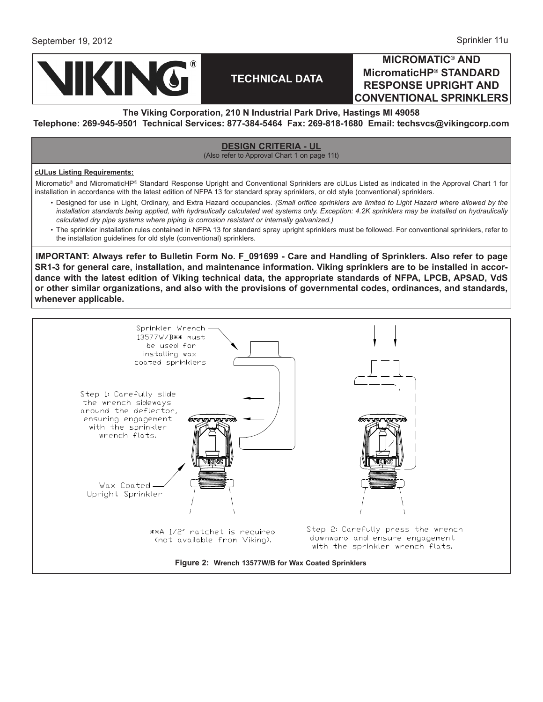

#### **micromatic® and micromaticHP® standard response uprighT and conventional sprinklers**

#### **The Viking Corporation, 210 N Industrial Park Drive, Hastings MI 49058**

**Telephone: 269-945-9501 Technical Services: 877-384-5464 Fax: 269-818-1680 Email: techsvcs@vikingcorp.com**

#### **DESIGN CRITERIA - UL** (Also refer to Approval Chart 1 on page 11t)

#### **cULus Listing Requirements:**

Micromatic® and MicromaticHP® Standard Response Upright and Conventional Sprinklers are cULus Listed as indicated in the Approval Chart 1 for installation in accordance with the latest edition of NFPA 13 for standard spray sprinklers, or old style (conventional) sprinklers.

- Designed for use in Light, Ordinary, and Extra Hazard occupancies. (Small orifice sprinklers are limited to Light Hazard where allowed by the installation standards being applied, with hydraulically calculated wet systems only. Exception: 4.2K sprinklers may be installed on hydraulically *calculated dry pipe systems where piping is corrosion resistant or internally galvanized.)*
- The sprinkler installation rules contained in NFPA 13 for standard spray upright sprinklers must be followed. For conventional sprinklers, refer to the installation guidelines for old style (conventional) sprinklers.

**IMPORTANT: Always refer to [Bulletin Form No. F\\_091699 - Care and Handling of Sprinklers.](http://www.vikingcorp.com/databook/sprinklers/091699.pdf) Also refer to page SR1-3 for general care, installation, and maintenance information. Viking sprinklers are to be installed in accordance with the latest edition of Viking technical data, the appropriate standards of NFPA, LPCB, APSAD, VdS or other similar organizations, and also with the provisions of governmental codes, ordinances, and standards, whenever applicable.**